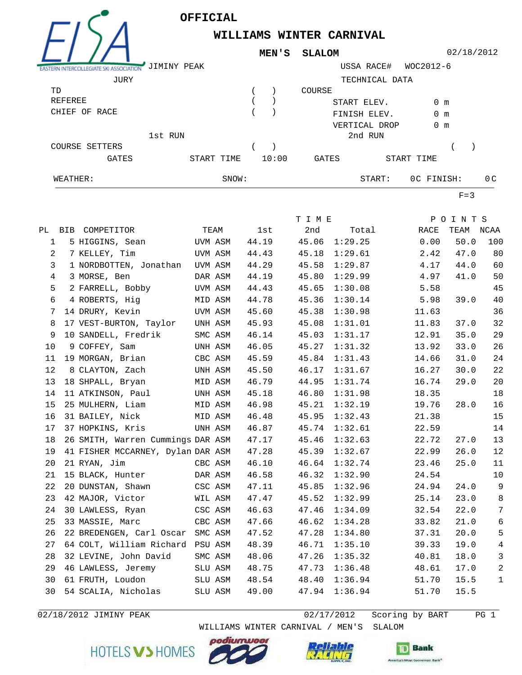

## **WILLIAMS WINTER CARNIVAL**

02/18/2012

|                  | JIMINY PEAK |       |       |        | USSA RACE#     | WOC2012-6     |     |
|------------------|-------------|-------|-------|--------|----------------|---------------|-----|
| JURY             |             |       |       |        | TECHNICAL DATA |               |     |
| TD               |             |       |       | COURSE |                |               |     |
| REFEREE          |             |       |       |        | START ELEV.    | 0 m           |     |
| CHIEF OF<br>RACE |             |       |       |        | FINISH ELEV.   | $0 \text{ m}$ |     |
|                  |             |       |       |        | VERTICAL DROP  | $0 \text{ m}$ |     |
|                  | 1st RUN     |       |       |        | 2nd RUN        |               |     |
| COURSE SETTERS   |             |       |       |        |                |               |     |
| GATES            | START TIME  |       | 10:00 | GATES  |                | START TIME    |     |
| WEATHER:         |             | SNOW: |       |        | START:         | OC FINISH:    | 0 C |

**MEN'S SLALOM**

 $F=3$ 

|                |                                   |         |         |       | T I M E |         |       | POINTS    |                |
|----------------|-----------------------------------|---------|---------|-------|---------|---------|-------|-----------|----------------|
|                | PL BIB COMPETITOR                 |         | TEAM    | lst   | 2nd     | Total   | RACE  | TEAM NCAA |                |
| 1              | 5 HIGGINS, Sean                   |         | UVM ASM | 44.19 | 45.06   | 1:29.25 | 0.00  | 50.0      | 100            |
| $\overline{a}$ | 7 KELLEY, Tim                     |         | UVM ASM | 44.43 | 45.18   | 1:29.61 | 2.42  | 47.0      | 80             |
| 3              | 1 NORDBOTTEN, Jonathan            |         | UVM ASM | 44.29 | 45.58   | 1:29.87 | 4.17  | 44.0      | 60             |
| $\overline{4}$ | 3 MORSE, Ben                      | DAR ASM |         | 44.19 | 45.80   | 1:29.99 | 4.97  | 41.0      | 50             |
| 5              | 2 FARRELL, Bobby                  |         | UVM ASM | 44.43 | 45.65   | 1:30.08 | 5.58  |           | 45             |
| 6              | 4 ROBERTS, Hig                    | MID ASM |         | 44.78 | 45.36   | 1:30.14 | 5.98  | 39.0      | 40             |
| 7              | 14 DRURY, Kevin                   | UVM ASM |         | 45.60 | 45.38   | 1:30.98 | 11.63 |           | 36             |
| 8              | 17 VEST-BURTON, Taylor            |         | UNH ASM | 45.93 | 45.08   | 1:31.01 | 11.83 | 37.0      | 32             |
| 9              | 10 SANDELL, Fredrik               |         | SMC ASM | 46.14 | 45.03   | 1:31.17 | 12.91 | 35.0      | 29             |
| 10             | 9 COFFEY, Sam                     |         | UNH ASM | 46.05 | 45.27   | 1:31.32 | 13.92 | 33.0      | 26             |
| 11             | 19 MORGAN, Brian                  | CBC ASM |         | 45.59 | 45.84   | 1:31.43 | 14.66 | 31.0      | 24             |
| 12             | 8 CLAYTON, Zach                   |         | UNH ASM | 45.50 | 46.17   | 1:31.67 | 16.27 | 30.0      | 22             |
| 13             | 18 SHPALL, Bryan                  |         | MID ASM | 46.79 | 44.95   | 1:31.74 | 16.74 | 29.0      | 20             |
| 14             | 11 ATKINSON, Paul                 | UNH ASM |         | 45.18 | 46.80   | 1:31.98 | 18.35 |           | 18             |
| 15             | 25 MULHERN, Liam                  | MID ASM |         | 46.98 | 45.21   | 1:32.19 | 19.76 | 28.0      | 16             |
| 16             | 31 BAILEY, Nick                   | MID ASM |         | 46.48 | 45.95   | 1:32.43 | 21.38 |           | 15             |
| 17             | 37 HOPKINS, Kris                  |         | UNH ASM | 46.87 | 45.74   | 1:32.61 | 22.59 |           | 14             |
| 18             | 26 SMITH, Warren Cummings DAR ASM |         |         | 47.17 | 45.46   | 1:32.63 | 22.72 | 27.0      | 13             |
| 19             | 41 FISHER MCCARNEY, Dylan DAR ASM |         |         | 47.28 | 45.39   | 1:32.67 | 22.99 | 26.0      | 12             |
| 20             | 21 RYAN, Jim                      | CBC ASM |         | 46.10 | 46.64   | 1:32.74 | 23.46 | 25.0      | 11             |
| 21             | 15 BLACK, Hunter                  |         | DAR ASM | 46.58 | 46.32   | 1:32.90 | 24.54 |           | 10             |
| 22             | 20 DUNSTAN, Shawn                 | CSC ASM |         | 47.11 | 45.85   | 1:32.96 | 24.94 | 24.0      | $\overline{9}$ |
| 23             | 42 MAJOR, Victor                  | WIL ASM |         | 47.47 | 45.52   | 1:32.99 | 25.14 | 23.0      | 8              |
| 24             | 30 LAWLESS, Ryan                  |         | CSC ASM | 46.63 | 47.46   | 1:34.09 | 32.54 | 22.0      | $\overline{7}$ |
| 25             | 33 MASSIE, Marc                   |         | CBC ASM | 47.66 | 46.62   | 1:34.28 | 33.82 | 21.0      | 6              |
| 26             | 22 BREDENGEN, Carl Oscar SMC ASM  |         |         | 47.52 | 47.28   | 1:34.80 | 37.31 | 20.0      | 5              |
| 27             | 64 COLT, William Richard PSU ASM  |         |         | 48.39 | 46.71   | 1:35.10 | 39.33 | 19.0      | $\overline{4}$ |
| 28             | 32 LEVINE, John David             |         | SMC ASM | 48.06 | 47.26   | 1:35.32 | 40.81 | 18.0      | 3              |
| 29             | 46 LAWLESS, Jeremy                |         | SLU ASM | 48.75 | 47.73   | 1:36.48 | 48.61 | 17.0      | 2              |
| 30             | 61 FRUTH, Loudon                  |         | SLU ASM | 48.54 | 48.40   | 1:36.94 | 51.70 | 15.5      | $\mathbf 1$    |
| 30             | 54 SCALIA, Nicholas               |         | SLU ASM | 49.00 | 47.94   | 1:36.94 | 51.70 | 15.5      |                |

02/18/2012 JIMINY PEAK 2012 12/17/2012 Scoring by BART 2012

 WILLIAMS WINTER CARNIVAL / MEN'S SLALOM oodiumu HOTELS V > HOMES